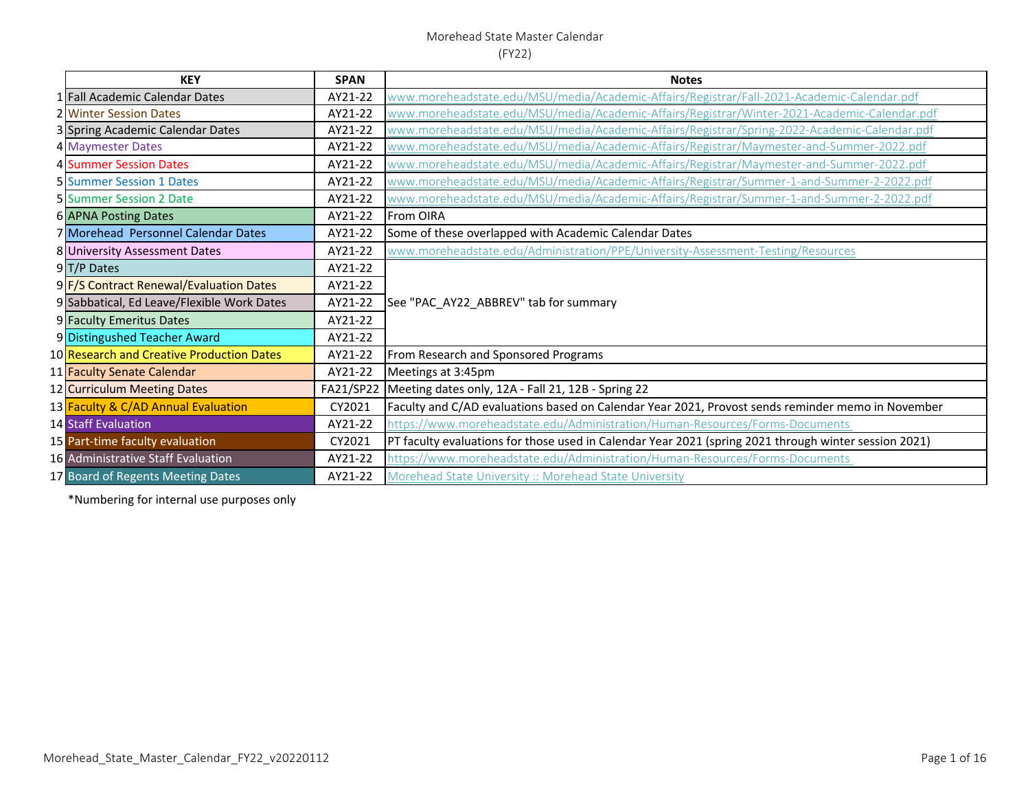#### Morehead State Master Calendar

#### (FY22)

| <b>KEY</b>                                 | <b>SPAN</b> | <b>Notes</b>                                                                                          |
|--------------------------------------------|-------------|-------------------------------------------------------------------------------------------------------|
| 1 Fall Academic Calendar Dates             | AY21-22     | www.moreheadstate.edu/MSU/media/Academic-Affairs/Registrar/Fall-2021-Academic-Calendar.pdf            |
| <b>2 Winter Session Dates</b>              | AY21-22     | www.moreheadstate.edu/MSU/media/Academic-Affairs/Registrar/Winter-2021-Academic-Calendar.pdf          |
| 3 Spring Academic Calendar Dates           | AY21-22     | www.moreheadstate.edu/MSU/media/Academic-Affairs/Registrar/Spring-2022-Academic-Calendar.pdf          |
| 4 Maymester Dates                          | AY21-22     | www.moreheadstate.edu/MSU/media/Academic-Affairs/Registrar/Maymester-and-Summer-2022.pdf              |
| 4 Summer Session Dates                     | AY21-22     | www.moreheadstate.edu/MSU/media/Academic-Affairs/Registrar/Maymester-and-Summer-2022.pdf              |
| <b>5 Summer Session 1 Dates</b>            | AY21-22     | www.moreheadstate.edu/MSU/media/Academic-Affairs/Registrar/Summer-1-and-Summer-2-2022.pdf             |
| <b>5 Summer Session 2 Date</b>             | AY21-22     | www.moreheadstate.edu/MSU/media/Academic-Affairs/Registrar/Summer-1-and-Summer-2-2022.pdf             |
| 6 APNA Posting Dates                       | AY21-22     | From OIRA                                                                                             |
| 7 Morehead Personnel Calendar Dates        | AY21-22     | Some of these overlapped with Academic Calendar Dates                                                 |
| 8 University Assessment Dates              | AY21-22     | www.moreheadstate.edu/Administration/PPE/University-Assessment-Testing/Resources                      |
| 9 T/P Dates                                | AY21-22     |                                                                                                       |
| 9 F/S Contract Renewal/Evaluation Dates    | AY21-22     |                                                                                                       |
| 9 Sabbatical, Ed Leave/Flexible Work Dates | AY21-22     | See "PAC_AY22_ABBREV" tab for summary                                                                 |
| 9 Faculty Emeritus Dates                   | AY21-22     |                                                                                                       |
| 9 Distingushed Teacher Award               | AY21-22     |                                                                                                       |
| 10 Research and Creative Production Dates  | AY21-22     | From Research and Sponsored Programs                                                                  |
| 11 Faculty Senate Calendar                 | AY21-22     | Meetings at 3:45pm                                                                                    |
| 12 Curriculum Meeting Dates                | FA21/SP22   | Meeting dates only, 12A - Fall 21, 12B - Spring 22                                                    |
| 13 Faculty & C/AD Annual Evaluation        | CY2021      | Faculty and C/AD evaluations based on Calendar Year 2021, Provost sends reminder memo in November     |
| <b>14 Staff Evaluation</b>                 | AY21-22     | https://www.moreheadstate.edu/Administration/Human-Resources/Forms-Documents                          |
| 15 Part-time faculty evaluation            | CY2021      | PT faculty evaluations for those used in Calendar Year 2021 (spring 2021 through winter session 2021) |
| 16 Administrative Staff Evaluation         | AY21-22     | https://www.moreheadstate.edu/Administration/Human-Resources/Forms-Documents                          |
| 17 Board of Regents Meeting Dates          | AY21-22     | Morehead State University :: Morehead State University                                                |

\*Numbering for internal use purposes only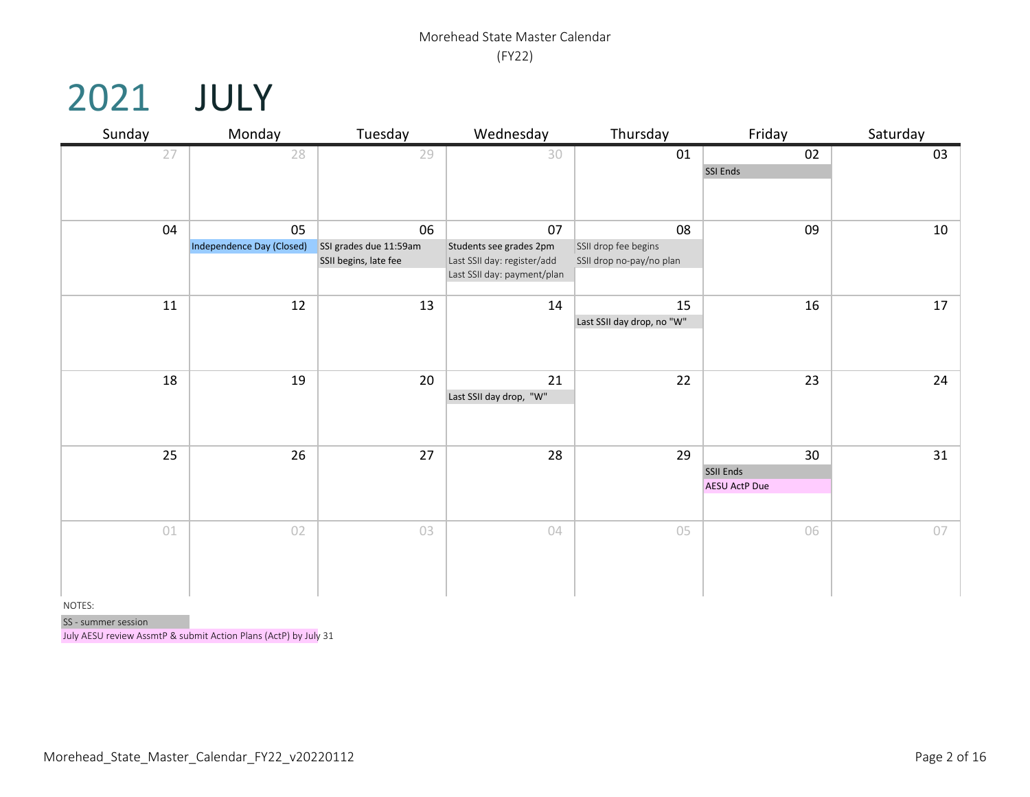### 2021 JULY

| Sunday | Monday                    | Tuesday                | Wednesday                     | Thursday                   | Friday               | Saturday |
|--------|---------------------------|------------------------|-------------------------------|----------------------------|----------------------|----------|
| 27     | 28                        | 29                     | 30                            | 01                         | 02                   | 03       |
|        |                           |                        |                               |                            | SSI Ends             |          |
|        |                           |                        |                               |                            |                      |          |
|        |                           |                        |                               |                            |                      |          |
| 04     | 05                        | 06                     | 07                            | 08                         | 09                   | $10\,$   |
|        | Independence Day (Closed) | SSI grades due 11:59am | Students see grades 2pm       | SSII drop fee begins       |                      |          |
|        |                           | SSII begins, late fee  | Last SSII day: register/add   | SSII drop no-pay/no plan   |                      |          |
|        |                           |                        | Last SSII day: payment/plan   |                            |                      |          |
| $11\,$ | 12                        | 13                     | 14                            | 15                         | 16                   | 17       |
|        |                           |                        |                               | Last SSII day drop, no "W" |                      |          |
|        |                           |                        |                               |                            |                      |          |
|        |                           |                        |                               |                            |                      |          |
| 18     | 19                        | 20                     |                               | 22                         | 23                   | 24       |
|        |                           |                        | 21<br>Last SSII day drop, "W" |                            |                      |          |
|        |                           |                        |                               |                            |                      |          |
|        |                           |                        |                               |                            |                      |          |
|        |                           |                        |                               |                            |                      |          |
| 25     | 26                        | 27                     | 28                            | 29                         | 30                   | 31       |
|        |                           |                        |                               |                            | SSII Ends            |          |
|        |                           |                        |                               |                            | <b>AESU ActP Due</b> |          |
|        |                           |                        |                               |                            |                      |          |
| 01     | 02                        | 03                     | 04                            | 05                         | 06                   | 07       |
|        |                           |                        |                               |                            |                      |          |
|        |                           |                        |                               |                            |                      |          |
|        |                           |                        |                               |                            |                      |          |
|        |                           |                        |                               |                            |                      |          |

NOTES:

SS - summer session

July AESU review AssmtP & submit Action Plans (ActP) by July 31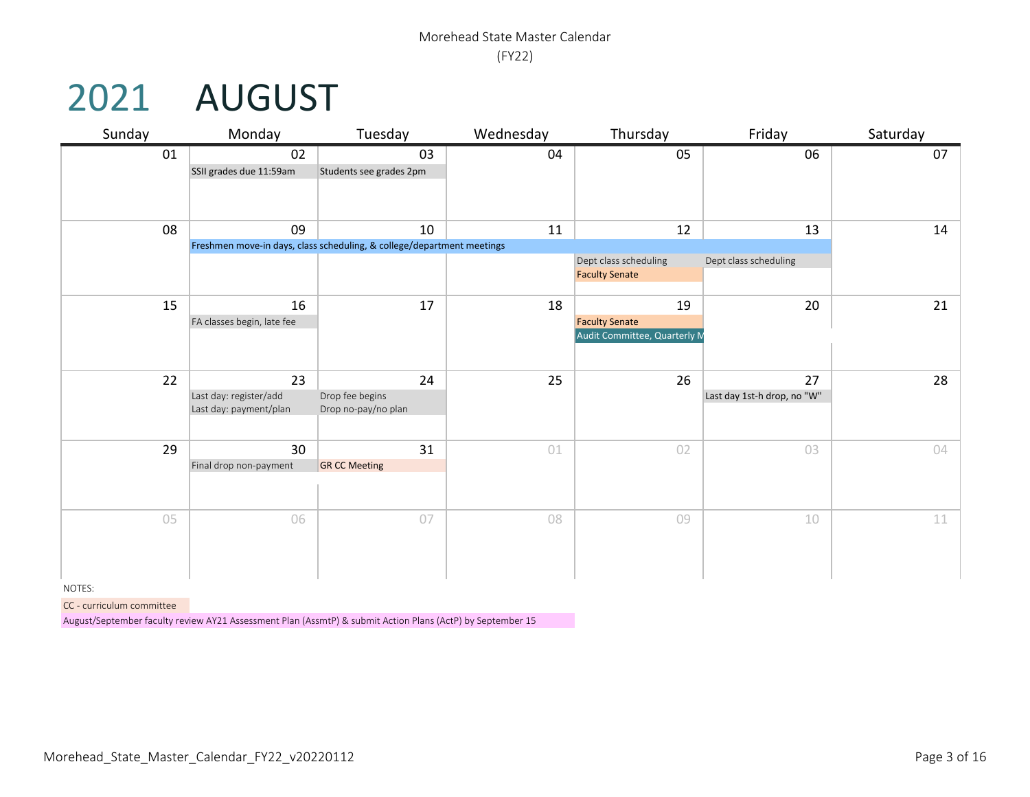## 2021 AUGUST

| Sunday | Monday                                                 | Tuesday                                                                      | Wednesday | Thursday                                                    | Friday                            | Saturday |
|--------|--------------------------------------------------------|------------------------------------------------------------------------------|-----------|-------------------------------------------------------------|-----------------------------------|----------|
| 01     | 02<br>SSII grades due 11:59am                          | 03<br>Students see grades 2pm                                                | 04        | 05                                                          | 06                                | 07       |
| 08     | 09                                                     | 10<br>Freshmen move-in days, class scheduling, & college/department meetings | 11        | 12                                                          | 13                                | 14       |
|        |                                                        |                                                                              |           | Dept class scheduling<br><b>Faculty Senate</b>              | Dept class scheduling             |          |
| 15     | 16<br>FA classes begin, late fee                       | 17                                                                           | 18        | 19<br><b>Faculty Senate</b><br>Audit Committee, Quarterly M | 20                                | 21       |
| 22     | 23<br>Last day: register/add<br>Last day: payment/plan | 24<br>Drop fee begins<br>Drop no-pay/no plan                                 | 25        | 26                                                          | 27<br>Last day 1st-h drop, no "W" | 28       |
| 29     | 30<br>Final drop non-payment                           | 31<br><b>GR CC Meeting</b>                                                   | 01        | 02                                                          | 03                                | 04       |
| 05     | 06                                                     | 07                                                                           | 08        | 09                                                          | 10                                | 11       |

NOTES:

CC - curriculum committee

August/September faculty review AY21 Assessment Plan (AssmtP) & submit Action Plans (ActP) by September 15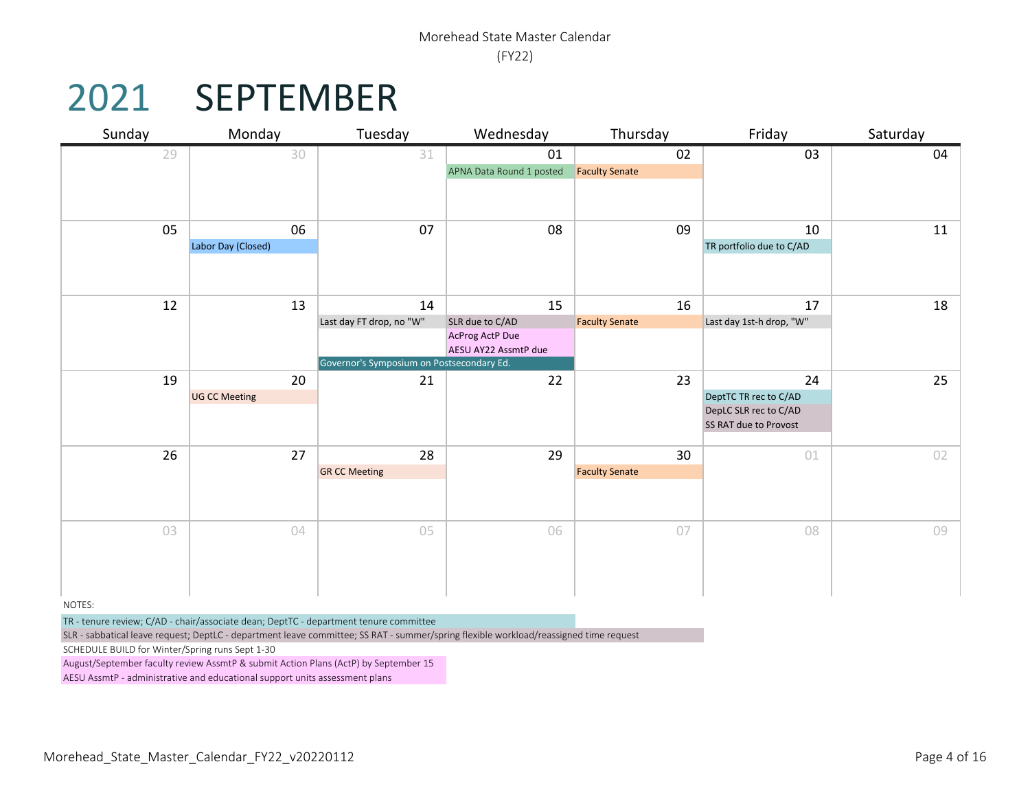## 2021 SEPTEMBER

| Sunday | Monday               | Tuesday                                   | Wednesday                                      | Thursday              | Friday                                         | Saturday |
|--------|----------------------|-------------------------------------------|------------------------------------------------|-----------------------|------------------------------------------------|----------|
| 29     | 30                   | 31                                        | 01                                             | 02                    | 03                                             | 04       |
|        |                      |                                           | APNA Data Round 1 posted                       | <b>Faculty Senate</b> |                                                |          |
|        |                      |                                           |                                                |                       |                                                |          |
|        |                      |                                           |                                                |                       |                                                |          |
| 05     | 06                   | 07                                        | 08                                             | 09                    | 10                                             | 11       |
|        | Labor Day (Closed)   |                                           |                                                |                       | TR portfolio due to C/AD                       |          |
|        |                      |                                           |                                                |                       |                                                |          |
|        |                      |                                           |                                                |                       |                                                |          |
| 12     | 13                   | 14                                        | 15                                             | 16                    | 17                                             | 18       |
|        |                      | Last day FT drop, no "W"                  | SLR due to C/AD                                | <b>Faculty Senate</b> | Last day 1st-h drop, "W"                       |          |
|        |                      |                                           | <b>AcProg ActP Due</b><br>AESU AY22 AssmtP due |                       |                                                |          |
|        |                      | Governor's Symposium on Postsecondary Ed. |                                                |                       |                                                |          |
| 19     | 20                   | 21                                        | 22                                             | 23                    | 24                                             | 25       |
|        | <b>UG CC Meeting</b> |                                           |                                                |                       | DeptTC TR rec to C/AD                          |          |
|        |                      |                                           |                                                |                       | DepLC SLR rec to C/AD<br>SS RAT due to Provost |          |
|        |                      |                                           |                                                |                       |                                                |          |
| 26     | 27                   | 28                                        | 29                                             | 30                    | 01                                             | 02       |
|        |                      | <b>GR CC Meeting</b>                      |                                                | <b>Faculty Senate</b> |                                                |          |
|        |                      |                                           |                                                |                       |                                                |          |
|        |                      |                                           |                                                |                       |                                                |          |
| 03     | 04                   | 05                                        | 06                                             | 07                    | 08                                             | 09       |
|        |                      |                                           |                                                |                       |                                                |          |
|        |                      |                                           |                                                |                       |                                                |          |
|        |                      |                                           |                                                |                       |                                                |          |

NOTES:

TR - tenure review; C/AD - chair/associate dean; DeptTC - department tenure committee

SLR - sabbatical leave request; DeptLC - department leave committee; SS RAT - summer/spring flexible workload/reassigned time request

SCHEDULE BUILD for Winter/Spring runs Sept 1-30

August/September faculty review AssmtP & submit Action Plans (ActP) by September 15

AESU AssmtP - administrative and educational support units assessment plans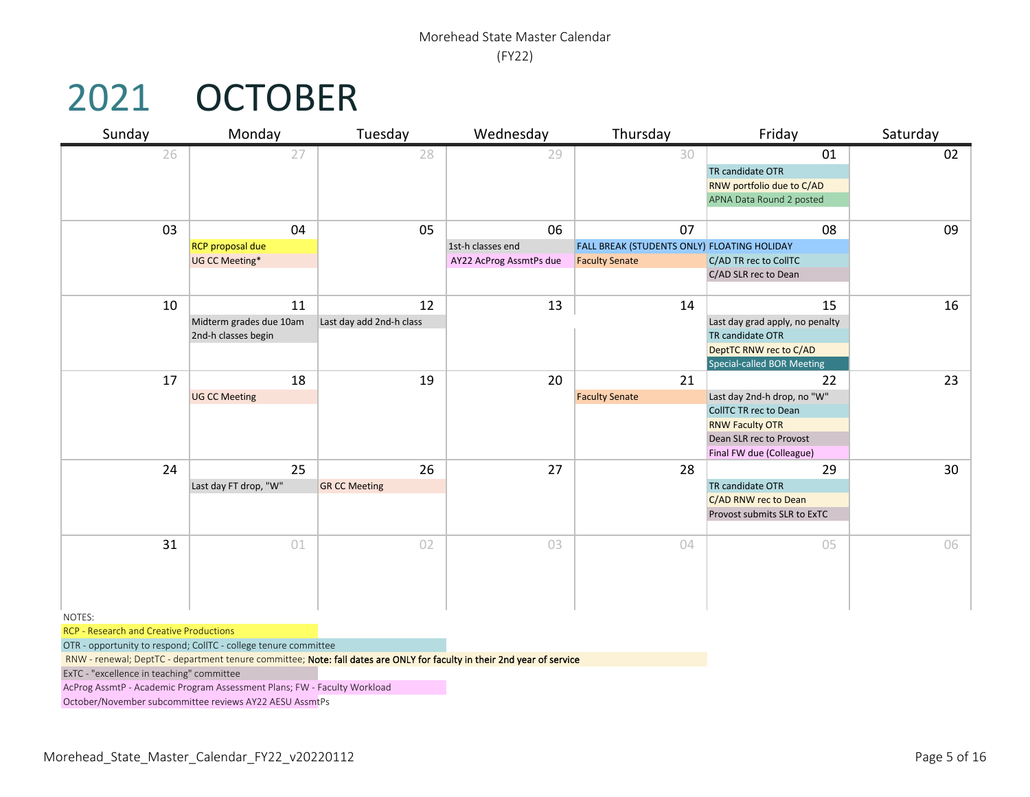## 2021 OCTOBER

| Sunday | Monday                  | Tuesday                  | Wednesday               | Thursday                                    | Friday                            | Saturday        |
|--------|-------------------------|--------------------------|-------------------------|---------------------------------------------|-----------------------------------|-----------------|
| 26     | 27                      | 28                       | 29                      | 30                                          | 01                                | 02              |
|        |                         |                          |                         |                                             | TR candidate OTR                  |                 |
|        |                         |                          |                         |                                             | RNW portfolio due to C/AD         |                 |
|        |                         |                          |                         |                                             | APNA Data Round 2 posted          |                 |
| 03     | 04                      | 05                       | 06                      | 07                                          | 08                                | 09              |
|        | <b>RCP</b> proposal due |                          | 1st-h classes end       | FALL BREAK (STUDENTS ONLY) FLOATING HOLIDAY |                                   |                 |
|        | UG CC Meeting*          |                          | AY22 AcProg AssmtPs due | <b>Faculty Senate</b>                       | C/AD TR rec to CollTC             |                 |
|        |                         |                          |                         |                                             | C/AD SLR rec to Dean              |                 |
|        |                         |                          |                         |                                             |                                   |                 |
| 10     | 11                      | 12                       | 13                      | 14                                          | 15                                | 16              |
|        | Midterm grades due 10am | Last day add 2nd-h class |                         |                                             | Last day grad apply, no penalty   |                 |
|        | 2nd-h classes begin     |                          |                         |                                             | TR candidate OTR                  |                 |
|        |                         |                          |                         |                                             | DeptTC RNW rec to C/AD            |                 |
| 17     | 18                      |                          | 20                      | 21                                          | Special-called BOR Meeting        | 23              |
|        | <b>UG CC Meeting</b>    | 19                       |                         | <b>Faculty Senate</b>                       | 22<br>Last day 2nd-h drop, no "W" |                 |
|        |                         |                          |                         |                                             | CollTC TR rec to Dean             |                 |
|        |                         |                          |                         |                                             | <b>RNW Faculty OTR</b>            |                 |
|        |                         |                          |                         |                                             | Dean SLR rec to Provost           |                 |
|        |                         |                          |                         |                                             | Final FW due (Colleague)          |                 |
| 24     | 25                      | 26                       | 27                      | 28                                          | 29                                | 30 <sup>°</sup> |
|        | Last day FT drop, "W"   | <b>GR CC Meeting</b>     |                         |                                             | TR candidate OTR                  |                 |
|        |                         |                          |                         |                                             | C/AD RNW rec to Dean              |                 |
|        |                         |                          |                         |                                             | Provost submits SLR to ExTC       |                 |
| 31     | 01                      | 02                       | 03                      | 04                                          | 05                                | 06              |
|        |                         |                          |                         |                                             |                                   |                 |
|        |                         |                          |                         |                                             |                                   |                 |
|        |                         |                          |                         |                                             |                                   |                 |
|        |                         |                          |                         |                                             |                                   |                 |
| NOTES: |                         |                          |                         |                                             |                                   |                 |

RCP - Research and Creative Productions

OTR - opportunity to respond; CollTC - college tenure committee

RNW - renewal; DeptTC - department tenure committee; Note: fall dates are ONLY for faculty in their 2nd year of service

ExTC - "excellence in teaching" committee

AcProg AssmtP - Academic Program Assessment Plans; FW - Faculty Workload

October/November subcommittee reviews AY22 AESU AssmtPs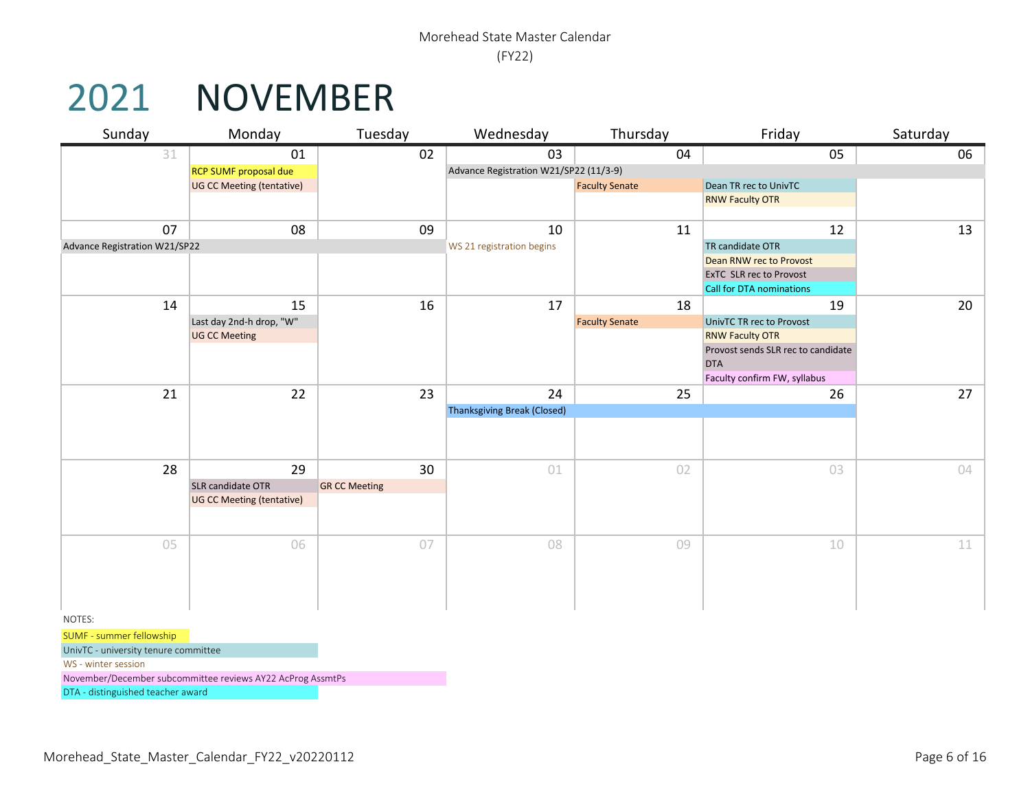#### 2021 NOVEMBER

| Sunday                               | Monday                                                     | Tuesday              | Wednesday                              | Thursday              | Friday                                                       | Saturday |
|--------------------------------------|------------------------------------------------------------|----------------------|----------------------------------------|-----------------------|--------------------------------------------------------------|----------|
| 31                                   | 01                                                         | 02                   | 03                                     | 04                    | 05                                                           | 06       |
|                                      | RCP SUMF proposal due                                      |                      | Advance Registration W21/SP22 (11/3-9) |                       |                                                              |          |
|                                      | <b>UG CC Meeting (tentative)</b>                           |                      |                                        | <b>Faculty Senate</b> | Dean TR rec to UnivTC                                        |          |
|                                      |                                                            |                      |                                        |                       | <b>RNW Faculty OTR</b>                                       |          |
|                                      |                                                            |                      |                                        |                       |                                                              |          |
| 07                                   | 08                                                         | 09                   | 10                                     | 11                    | 12                                                           | 13       |
| Advance Registration W21/SP22        |                                                            |                      | WS 21 registration begins              |                       | TR candidate OTR                                             |          |
|                                      |                                                            |                      |                                        |                       | Dean RNW rec to Provost                                      |          |
|                                      |                                                            |                      |                                        |                       | <b>ExTC SLR rec to Provost</b>                               |          |
|                                      |                                                            |                      |                                        |                       | Call for DTA nominations                                     |          |
| 14                                   | 15                                                         | 16                   | 17                                     | 18                    | 19                                                           | 20       |
|                                      | Last day 2nd-h drop, "W"                                   |                      |                                        | <b>Faculty Senate</b> | UnivTC TR rec to Provost                                     |          |
|                                      | <b>UG CC Meeting</b>                                       |                      |                                        |                       | <b>RNW Faculty OTR</b><br>Provost sends SLR rec to candidate |          |
|                                      |                                                            |                      |                                        |                       | <b>DTA</b>                                                   |          |
|                                      |                                                            |                      |                                        |                       | Faculty confirm FW, syllabus                                 |          |
| 21                                   | 22                                                         | 23                   | 24                                     | 25                    | 26                                                           | 27       |
|                                      |                                                            |                      | <b>Thanksgiving Break (Closed)</b>     |                       |                                                              |          |
|                                      |                                                            |                      |                                        |                       |                                                              |          |
|                                      |                                                            |                      |                                        |                       |                                                              |          |
|                                      |                                                            |                      |                                        |                       |                                                              |          |
| 28                                   | 29                                                         | 30                   | 01                                     | 02                    | 03                                                           | 04       |
|                                      | SLR candidate OTR                                          | <b>GR CC Meeting</b> |                                        |                       |                                                              |          |
|                                      | <b>UG CC Meeting (tentative)</b>                           |                      |                                        |                       |                                                              |          |
|                                      |                                                            |                      |                                        |                       |                                                              |          |
|                                      |                                                            |                      |                                        |                       |                                                              |          |
| 05                                   | 06                                                         | 07                   | 08                                     | 09                    | 10                                                           | 11       |
|                                      |                                                            |                      |                                        |                       |                                                              |          |
|                                      |                                                            |                      |                                        |                       |                                                              |          |
|                                      |                                                            |                      |                                        |                       |                                                              |          |
| NOTES:                               |                                                            |                      |                                        |                       |                                                              |          |
| SUMF - summer fellowship             |                                                            |                      |                                        |                       |                                                              |          |
| UnivTC - university tenure committee |                                                            |                      |                                        |                       |                                                              |          |
| WS - winter session                  |                                                            |                      |                                        |                       |                                                              |          |
|                                      | November/December subcommittee reviews AY22 AcProg AssmtPs |                      |                                        |                       |                                                              |          |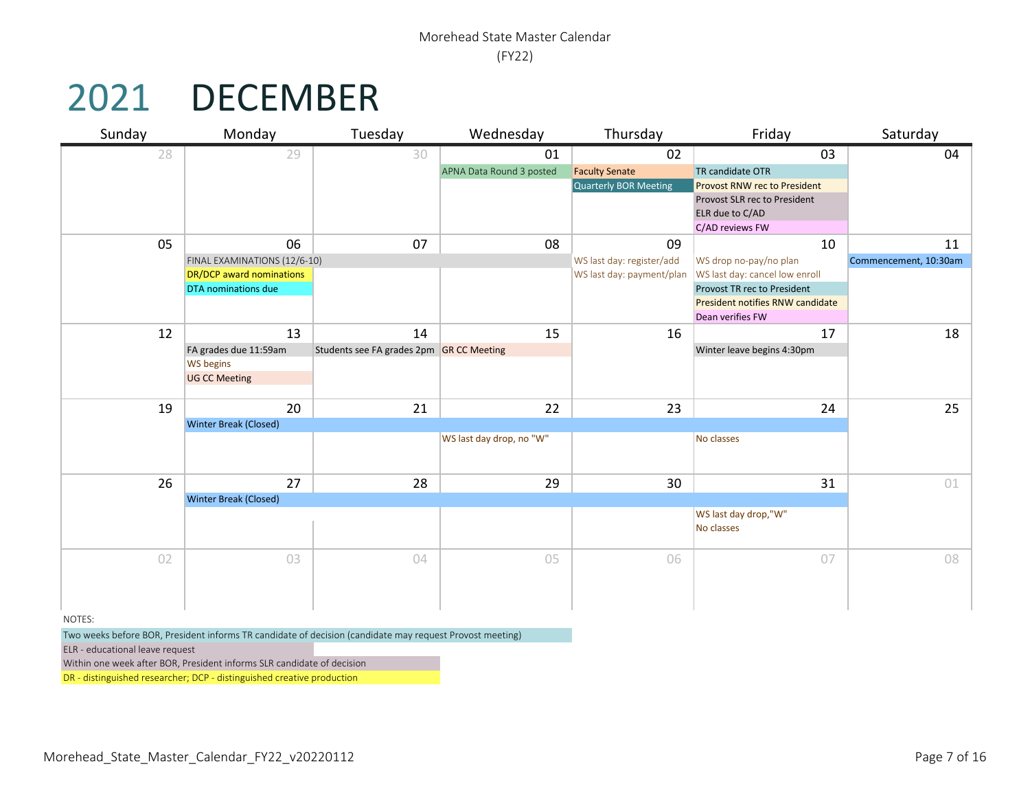## 2021 DECEMBER

| Sunday | Monday                          | Tuesday                                  | Wednesday                | Thursday                  | Friday                              | Saturday              |
|--------|---------------------------------|------------------------------------------|--------------------------|---------------------------|-------------------------------------|-----------------------|
| 28     | 29                              | 30                                       | 01                       | 02                        | 03                                  | 04                    |
|        |                                 |                                          | APNA Data Round 3 posted | <b>Faculty Senate</b>     | TR candidate OTR                    |                       |
|        |                                 |                                          |                          | Quarterly BOR Meeting     | <b>Provost RNW rec to President</b> |                       |
|        |                                 |                                          |                          |                           | Provost SLR rec to President        |                       |
|        |                                 |                                          |                          |                           | ELR due to C/AD                     |                       |
|        |                                 |                                          |                          |                           | C/AD reviews FW                     |                       |
| 05     | 06                              | 07                                       | 08                       | 09                        | 10                                  | 11                    |
|        | FINAL EXAMINATIONS (12/6-10)    |                                          |                          | WS last day: register/add | WS drop no-pay/no plan              | Commencement, 10:30am |
|        | <b>DR/DCP</b> award nominations |                                          |                          | WS last day: payment/plan | WS last day: cancel low enroll      |                       |
|        | DTA nominations due             |                                          |                          |                           | Provost TR rec to President         |                       |
|        |                                 |                                          |                          |                           | President notifies RNW candidate    |                       |
|        |                                 |                                          |                          |                           | Dean verifies FW                    |                       |
| 12     | 13                              | 14                                       | 15                       | 16                        | 17                                  | 18                    |
|        | FA grades due 11:59am           | Students see FA grades 2pm GR CC Meeting |                          |                           | Winter leave begins 4:30pm          |                       |
|        | <b>WS begins</b>                |                                          |                          |                           |                                     |                       |
|        | <b>UG CC Meeting</b>            |                                          |                          |                           |                                     |                       |
|        |                                 |                                          |                          |                           |                                     |                       |
| 19     | 20                              | 21                                       | 22                       | 23                        | 24                                  | 25                    |
|        | <b>Winter Break (Closed)</b>    |                                          |                          |                           |                                     |                       |
|        |                                 |                                          | WS last day drop, no "W" |                           | No classes                          |                       |
|        |                                 |                                          |                          |                           |                                     |                       |
| 26     | 27                              | 28                                       | 29                       | 30                        | 31                                  | 01                    |
|        | <b>Winter Break (Closed)</b>    |                                          |                          |                           |                                     |                       |
|        |                                 |                                          |                          |                           | WS last day drop,"W"                |                       |
|        |                                 |                                          |                          |                           | No classes                          |                       |
|        |                                 |                                          |                          |                           |                                     |                       |
| 02     | 03                              | 04                                       | 05                       | 06                        | 07                                  | 08                    |
|        |                                 |                                          |                          |                           |                                     |                       |
|        |                                 |                                          |                          |                           |                                     |                       |
|        |                                 |                                          |                          |                           |                                     |                       |
| NOTEC. |                                 |                                          |                          |                           |                                     |                       |

NOTES:

Two weeks before BOR, President informs TR candidate of decision (candidate may request Provost meeting)

ELR - educational leave request

Within one week after BOR, President informs SLR candidate of decision

DR - distinguished researcher; DCP - distinguished creative production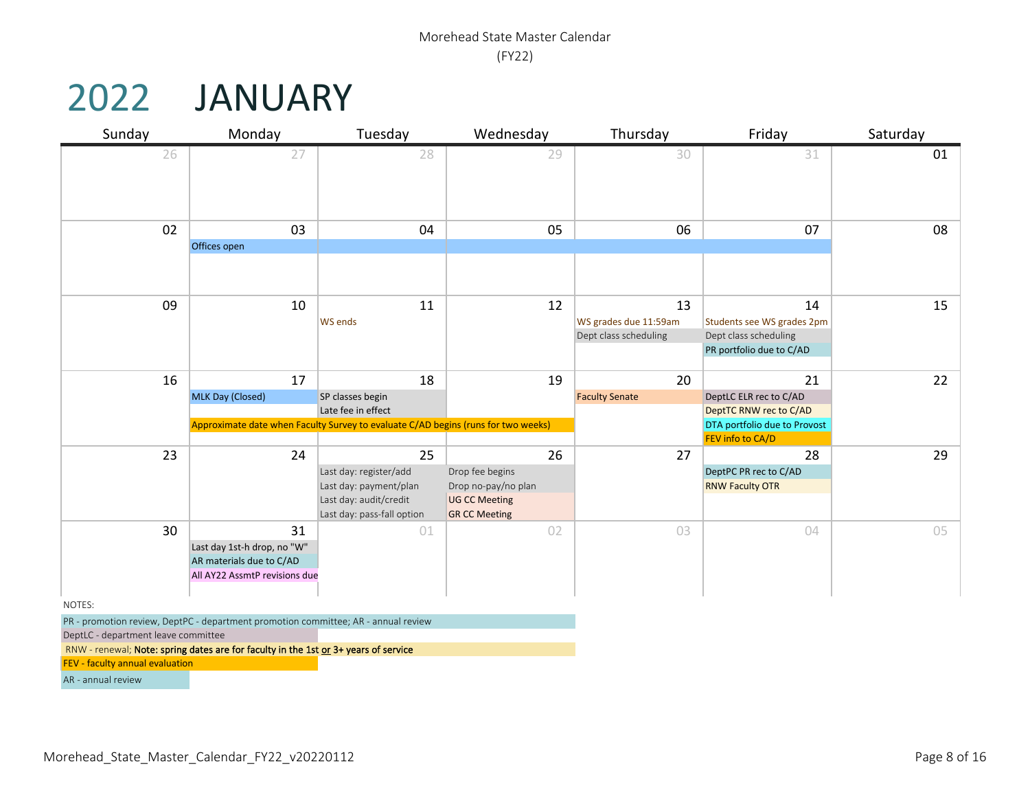# 2022 JANUARY

| Sunday                              | Monday                                                                              | Tuesday                                                                           | Wednesday                                    | Thursday              | Friday                       | Saturday |
|-------------------------------------|-------------------------------------------------------------------------------------|-----------------------------------------------------------------------------------|----------------------------------------------|-----------------------|------------------------------|----------|
| 26                                  | 27                                                                                  | 28                                                                                | 29                                           | 30                    | 31                           | 01       |
|                                     |                                                                                     |                                                                                   |                                              |                       |                              |          |
|                                     |                                                                                     |                                                                                   |                                              |                       |                              |          |
|                                     |                                                                                     |                                                                                   |                                              |                       |                              |          |
|                                     |                                                                                     |                                                                                   |                                              |                       |                              |          |
| 02                                  | 03                                                                                  | 04                                                                                | 05                                           | 06                    | 07                           | 08       |
|                                     | Offices open                                                                        |                                                                                   |                                              |                       |                              |          |
|                                     |                                                                                     |                                                                                   |                                              |                       |                              |          |
|                                     |                                                                                     |                                                                                   |                                              |                       |                              |          |
| 09                                  | 10                                                                                  | 11                                                                                | 12                                           | 13                    | 14                           | 15       |
|                                     |                                                                                     | <b>WS ends</b>                                                                    |                                              | WS grades due 11:59am | Students see WS grades 2pm   |          |
|                                     |                                                                                     |                                                                                   |                                              | Dept class scheduling | Dept class scheduling        |          |
|                                     |                                                                                     |                                                                                   |                                              |                       | PR portfolio due to C/AD     |          |
|                                     |                                                                                     |                                                                                   |                                              |                       |                              |          |
| 16                                  | 17                                                                                  | 18                                                                                | 19                                           | 20                    | 21                           | 22       |
|                                     | MLK Day (Closed)                                                                    | SP classes begin                                                                  |                                              | <b>Faculty Senate</b> | DeptLC ELR rec to C/AD       |          |
|                                     |                                                                                     | Late fee in effect                                                                |                                              |                       | DeptTC RNW rec to C/AD       |          |
|                                     |                                                                                     | Approximate date when Faculty Survey to evaluate C/AD begins (runs for two weeks) |                                              |                       | DTA portfolio due to Provost |          |
|                                     |                                                                                     |                                                                                   |                                              |                       | FEV info to CA/D             |          |
| 23                                  | 24                                                                                  | 25                                                                                | 26                                           | 27                    | 28                           | 29       |
|                                     |                                                                                     | Last day: register/add                                                            | Drop fee begins                              |                       | DeptPC PR rec to C/AD        |          |
|                                     |                                                                                     | Last day: payment/plan                                                            | Drop no-pay/no plan                          |                       | <b>RNW Faculty OTR</b>       |          |
|                                     |                                                                                     | Last day: audit/credit<br>Last day: pass-fall option                              | <b>UG CC Meeting</b><br><b>GR CC Meeting</b> |                       |                              |          |
| 30                                  | 31                                                                                  | 01                                                                                | 02                                           | 03                    | 04                           | 05       |
|                                     | Last day 1st-h drop, no "W"                                                         |                                                                                   |                                              |                       |                              |          |
|                                     | AR materials due to C/AD                                                            |                                                                                   |                                              |                       |                              |          |
|                                     | All AY22 AssmtP revisions due                                                       |                                                                                   |                                              |                       |                              |          |
|                                     |                                                                                     |                                                                                   |                                              |                       |                              |          |
| NOTES:                              |                                                                                     |                                                                                   |                                              |                       |                              |          |
|                                     | PR - promotion review, DeptPC - department promotion committee; AR - annual review  |                                                                                   |                                              |                       |                              |          |
| DeptLC - department leave committee |                                                                                     |                                                                                   |                                              |                       |                              |          |
|                                     | RNW - renewal; Note: spring dates are for faculty in the 1st or 3+ years of service |                                                                                   |                                              |                       |                              |          |
| FEV - faculty annual evaluation     |                                                                                     |                                                                                   |                                              |                       |                              |          |

AR - annual review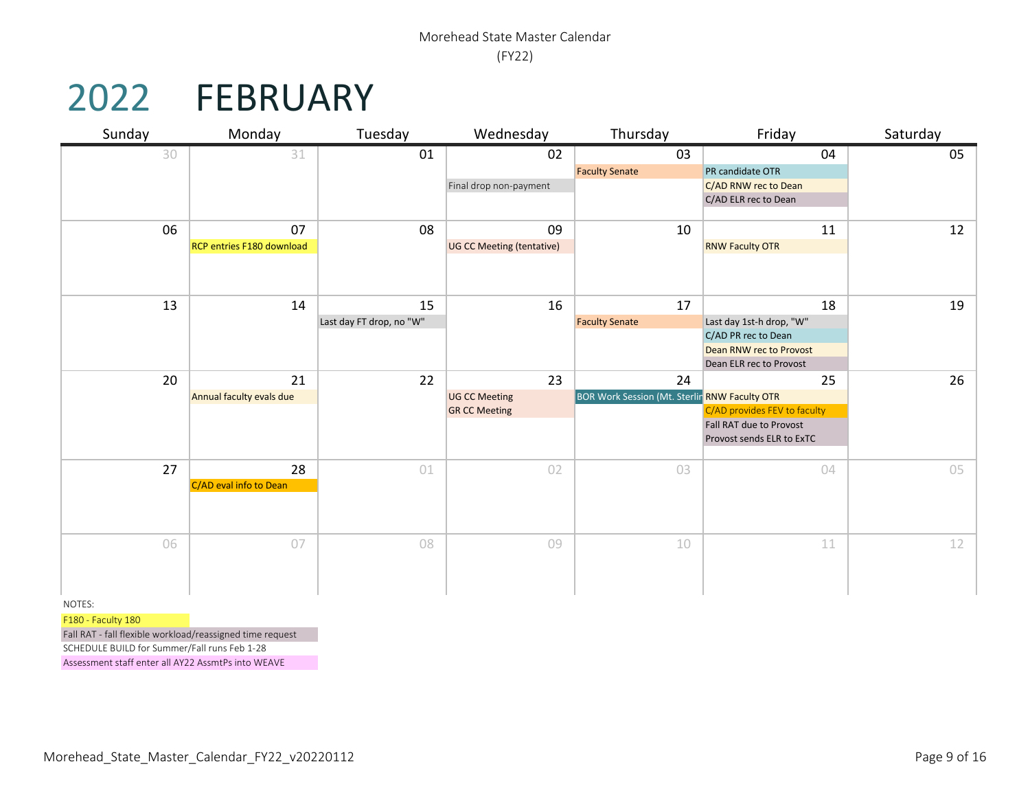# 2022 FEBRUARY

| Sunday | Monday                    | Tuesday                  | Wednesday                                    | Thursday                                      | Friday                       | Saturday |
|--------|---------------------------|--------------------------|----------------------------------------------|-----------------------------------------------|------------------------------|----------|
| 30     | 31                        | 01                       | 02                                           | 03                                            | 04                           | 05       |
|        |                           |                          |                                              | <b>Faculty Senate</b>                         | PR candidate OTR             |          |
|        |                           |                          | Final drop non-payment                       |                                               | C/AD RNW rec to Dean         |          |
|        |                           |                          |                                              |                                               | C/AD ELR rec to Dean         |          |
| 06     | 07                        | 08                       | 09                                           | 10                                            | 11                           | 12       |
|        | RCP entries F180 download |                          | UG CC Meeting (tentative)                    |                                               | <b>RNW Faculty OTR</b>       |          |
|        |                           |                          |                                              |                                               |                              |          |
| 13     | 14                        | 15                       | 16                                           | 17                                            | 18                           | 19       |
|        |                           | Last day FT drop, no "W" |                                              | <b>Faculty Senate</b>                         | Last day 1st-h drop, "W"     |          |
|        |                           |                          |                                              |                                               | C/AD PR rec to Dean          |          |
|        |                           |                          |                                              |                                               | Dean RNW rec to Provost      |          |
|        |                           |                          |                                              |                                               | Dean ELR rec to Provost      |          |
| 20     | 21                        | 22                       | 23                                           | 24                                            | 25                           | 26       |
|        | Annual faculty evals due  |                          | <b>UG CC Meeting</b><br><b>GR CC Meeting</b> | BOR Work Session (Mt. Sterlin RNW Faculty OTR | C/AD provides FEV to faculty |          |
|        |                           |                          |                                              |                                               | Fall RAT due to Provost      |          |
|        |                           |                          |                                              |                                               | Provost sends ELR to ExTC    |          |
|        |                           |                          |                                              |                                               |                              |          |
| 27     | 28                        | 01                       | 02                                           | 03                                            | 04                           | 05       |
|        | C/AD eval info to Dean    |                          |                                              |                                               |                              |          |
|        |                           |                          |                                              |                                               |                              |          |
|        |                           |                          |                                              |                                               |                              |          |
| 06     | 07                        | 08                       | 09                                           | 10                                            | 11                           | 12       |
|        |                           |                          |                                              |                                               |                              |          |
|        |                           |                          |                                              |                                               |                              |          |
|        |                           |                          |                                              |                                               |                              |          |
| NOTES: |                           |                          |                                              |                                               |                              |          |

F180 - Faculty 180

Fall RAT - fall flexible workload/reassigned time request SCHEDULE BUILD for Summer/Fall runs Feb 1-28

Assessment staff enter all AY22 AssmtPs into WEAVE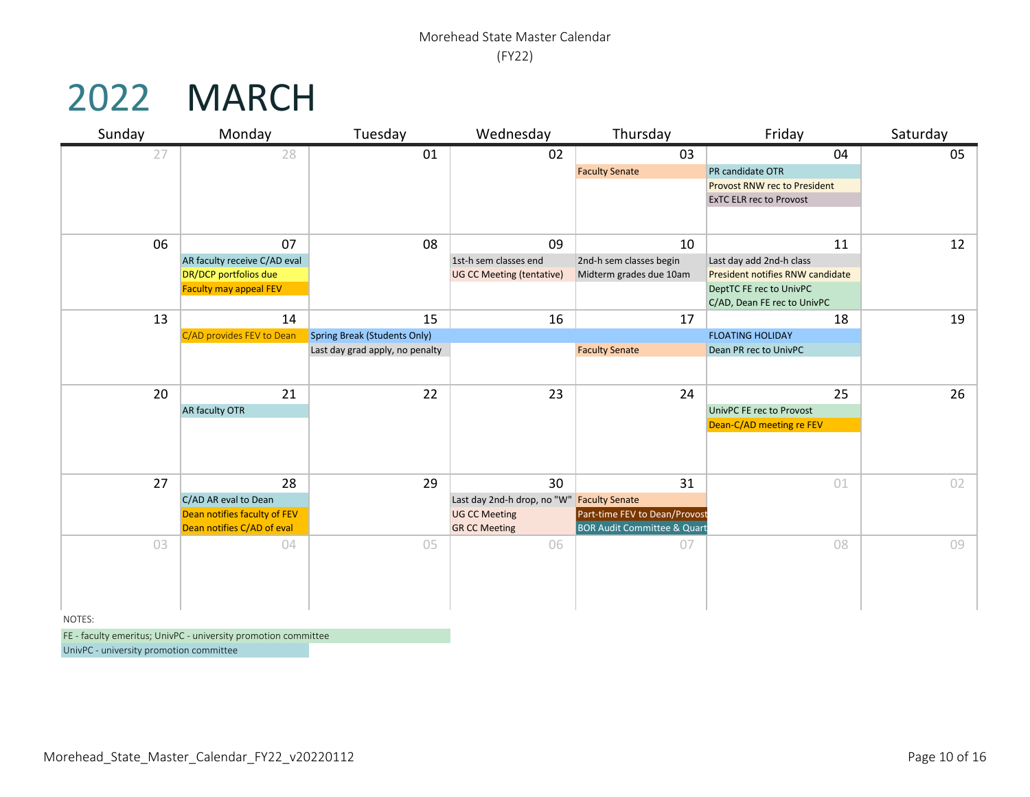### 2022 MARCH

| Sunday | Monday                        | Tuesday                             | Wednesday                                  | Thursday                               | Friday                              | Saturday |
|--------|-------------------------------|-------------------------------------|--------------------------------------------|----------------------------------------|-------------------------------------|----------|
| 27     | 28                            | 01                                  | 02                                         | 03                                     | 04                                  | 05       |
|        |                               |                                     |                                            | <b>Faculty Senate</b>                  | PR candidate OTR                    |          |
|        |                               |                                     |                                            |                                        | <b>Provost RNW rec to President</b> |          |
|        |                               |                                     |                                            |                                        | <b>ExTC ELR rec to Provost</b>      |          |
|        |                               |                                     |                                            |                                        |                                     |          |
| 06     | 07                            | 08                                  | 09                                         | 10                                     | 11                                  | 12       |
|        | AR faculty receive C/AD eval  |                                     | 1st-h sem classes end                      | 2nd-h sem classes begin                | Last day add 2nd-h class            |          |
|        | DR/DCP portfolios due         |                                     | <b>UG CC Meeting (tentative)</b>           | Midterm grades due 10am                | President notifies RNW candidate    |          |
|        | <b>Faculty may appeal FEV</b> |                                     |                                            |                                        | DeptTC FE rec to UnivPC             |          |
|        |                               |                                     |                                            |                                        | C/AD, Dean FE rec to UnivPC         |          |
| 13     | 14                            | 15                                  | 16                                         | 17                                     | 18                                  | 19       |
|        | C/AD provides FEV to Dean     | <b>Spring Break (Students Only)</b> |                                            |                                        | <b>FLOATING HOLIDAY</b>             |          |
|        |                               | Last day grad apply, no penalty     |                                            | <b>Faculty Senate</b>                  | Dean PR rec to UnivPC               |          |
|        |                               |                                     |                                            |                                        |                                     |          |
| 20     | 21                            | 22                                  | 23                                         | 24                                     | 25                                  | 26       |
|        | AR faculty OTR                |                                     |                                            |                                        | UnivPC FE rec to Provost            |          |
|        |                               |                                     |                                            |                                        | Dean-C/AD meeting re FEV            |          |
|        |                               |                                     |                                            |                                        |                                     |          |
|        |                               |                                     |                                            |                                        |                                     |          |
| 27     | 28                            | 29                                  | 30                                         | 31                                     | 01                                  | 02       |
|        | C/AD AR eval to Dean          |                                     | Last day 2nd-h drop, no "W" Faculty Senate |                                        |                                     |          |
|        | Dean notifies faculty of FEV  |                                     | <b>UG CC Meeting</b>                       | Part-time FEV to Dean/Provost          |                                     |          |
|        | Dean notifies C/AD of eval    |                                     | <b>GR CC Meeting</b>                       | <b>BOR Audit Committee &amp; Quart</b> |                                     |          |
| 03     | 04                            | 05                                  | 06                                         | 07                                     | 08                                  | 09       |
|        |                               |                                     |                                            |                                        |                                     |          |
|        |                               |                                     |                                            |                                        |                                     |          |
|        |                               |                                     |                                            |                                        |                                     |          |
| NOTES: |                               |                                     |                                            |                                        |                                     |          |

FE - faculty emeritus; UnivPC - university promotion committee

UnivPC - university promotion committee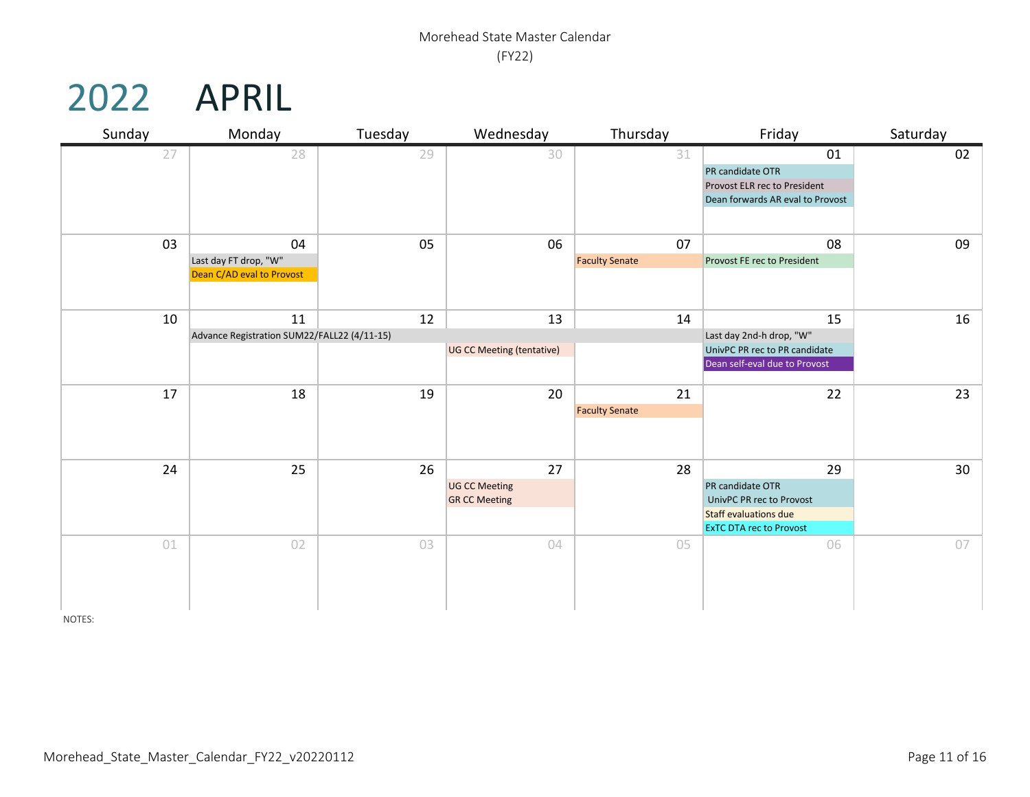## 2022 APRIL

| Sunday | Monday                                      | Tuesday | Wednesday                        | Thursday              | Friday                                                         | Saturday        |
|--------|---------------------------------------------|---------|----------------------------------|-----------------------|----------------------------------------------------------------|-----------------|
| 27     | 28                                          | 29      | 30                               | 31                    | 01                                                             | 02              |
|        |                                             |         |                                  |                       | PR candidate OTR                                               |                 |
|        |                                             |         |                                  |                       | Provost ELR rec to President                                   |                 |
|        |                                             |         |                                  |                       | Dean forwards AR eval to Provost                               |                 |
|        |                                             |         |                                  |                       |                                                                |                 |
| 03     | 04                                          | 05      | 06                               | 07                    | 08                                                             | 09              |
|        | Last day FT drop, "W"                       |         |                                  | <b>Faculty Senate</b> | Provost FE rec to President                                    |                 |
|        | Dean C/AD eval to Provost                   |         |                                  |                       |                                                                |                 |
|        |                                             |         |                                  |                       |                                                                |                 |
| 10     | 11                                          | 12      | 13                               | 14                    | 15                                                             | $16\,$          |
|        | Advance Registration SUM22/FALL22 (4/11-15) |         |                                  |                       | Last day 2nd-h drop, "W"                                       |                 |
|        |                                             |         | <b>UG CC Meeting (tentative)</b> |                       | UnivPC PR rec to PR candidate                                  |                 |
|        |                                             |         |                                  |                       | Dean self-eval due to Provost                                  |                 |
|        |                                             |         |                                  |                       |                                                                |                 |
| 17     | 18                                          | 19      | 20                               | 21                    | 22                                                             | 23              |
|        |                                             |         |                                  | <b>Faculty Senate</b> |                                                                |                 |
|        |                                             |         |                                  |                       |                                                                |                 |
|        |                                             |         |                                  |                       |                                                                |                 |
| 24     | 25                                          | 26      | 27                               | 28                    | 29                                                             | 30 <sup>°</sup> |
|        |                                             |         | <b>UG CC Meeting</b>             |                       | PR candidate OTR                                               |                 |
|        |                                             |         | <b>GR CC Meeting</b>             |                       | UnivPC PR rec to Provost                                       |                 |
|        |                                             |         |                                  |                       | <b>Staff evaluations due</b><br><b>ExTC DTA rec to Provost</b> |                 |
| 01     | 02                                          | 03      | 04                               | 05                    | 06                                                             | 07              |
|        |                                             |         |                                  |                       |                                                                |                 |
|        |                                             |         |                                  |                       |                                                                |                 |
|        |                                             |         |                                  |                       |                                                                |                 |
|        |                                             |         |                                  |                       |                                                                |                 |

NOTES: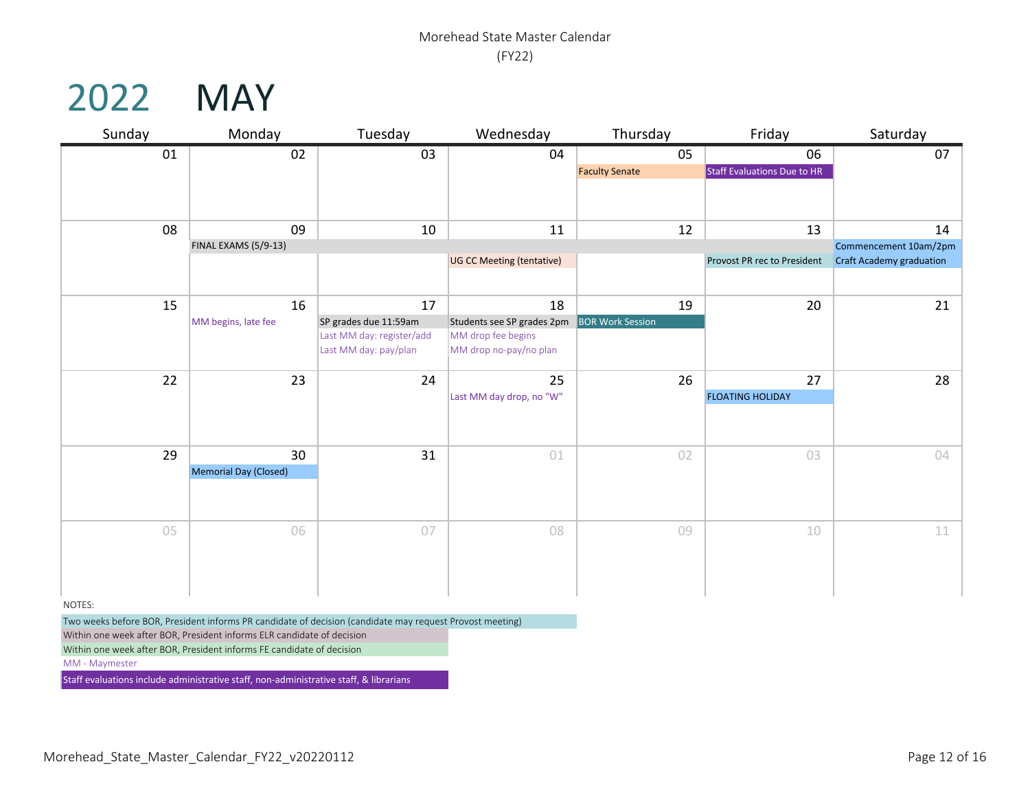### 2022 MAY

| Sunday  | Monday                | Tuesday                   | Wednesday                  | Thursday                | Friday                      | Saturday                        |
|---------|-----------------------|---------------------------|----------------------------|-------------------------|-----------------------------|---------------------------------|
| 01      | 02                    | 03                        | 04                         | 05                      | 06                          | 07                              |
|         |                       |                           |                            | <b>Faculty Senate</b>   | Staff Evaluations Due to HR |                                 |
|         |                       |                           |                            |                         |                             |                                 |
|         |                       |                           |                            |                         |                             |                                 |
| 08      | 09                    | 10                        | 11                         | 12                      | 13                          | 14                              |
|         | FINAL EXAMS (5/9-13)  |                           |                            |                         |                             | Commencement 10am/2pm           |
|         |                       |                           | UG CC Meeting (tentative)  |                         | Provost PR rec to President | <b>Craft Academy graduation</b> |
|         |                       |                           |                            |                         |                             |                                 |
| 15      | 16                    | 17                        | 18                         | 19                      | 20                          | 21                              |
|         | MM begins, late fee   | SP grades due 11:59am     | Students see SP grades 2pm | <b>BOR Work Session</b> |                             |                                 |
|         |                       | Last MM day: register/add | MM drop fee begins         |                         |                             |                                 |
|         |                       | Last MM day: pay/plan     | MM drop no-pay/no plan     |                         |                             |                                 |
| 22      | 23                    | 24                        | 25                         | 26                      | 27                          | 28                              |
|         |                       |                           | Last MM day drop, no "W"   |                         | <b>FLOATING HOLIDAY</b>     |                                 |
|         |                       |                           |                            |                         |                             |                                 |
|         |                       |                           |                            |                         |                             |                                 |
| 29      | 30                    | 31                        | 01                         | 02                      | 03                          | 04                              |
|         | Memorial Day (Closed) |                           |                            |                         |                             |                                 |
|         |                       |                           |                            |                         |                             |                                 |
|         |                       |                           |                            |                         |                             |                                 |
| 05      | 06                    | 07                        | 08                         | 09                      | 10                          | 11                              |
|         |                       |                           |                            |                         |                             |                                 |
|         |                       |                           |                            |                         |                             |                                 |
|         |                       |                           |                            |                         |                             |                                 |
|         |                       |                           |                            |                         |                             |                                 |
| NIOTEC- |                       |                           |                            |                         |                             |                                 |

NOTES:

Two weeks before BOR, President informs PR candidate of decision (candidate may request Provost meeting)

Within one week after BOR, President informs ELR candidate of decision

Within one week after BOR, President informs FE candidate of decision

MM - Maymester

Staff evaluations include administrative staff, non-administrative staff, & librarians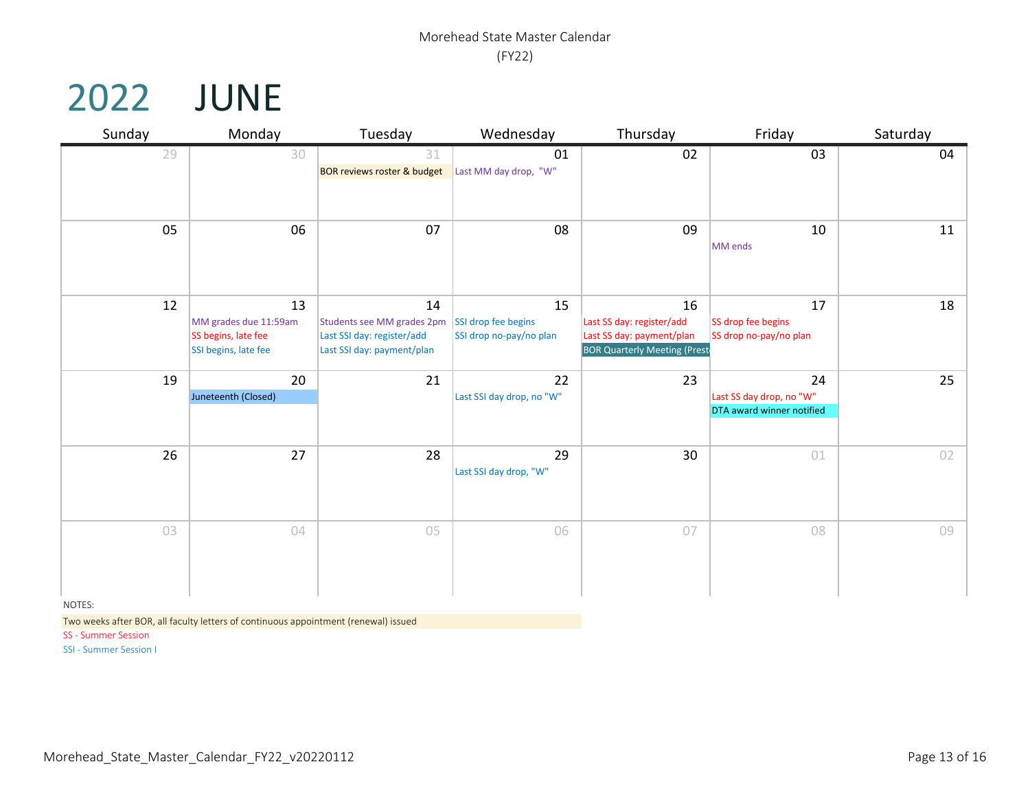### 2022 JUNE

| Sunday | Monday<br>Tuesday                                                          |                                                                                              | Wednesday                                            | Thursday                                                                                            | Friday                                                      | Saturday |  |
|--------|----------------------------------------------------------------------------|----------------------------------------------------------------------------------------------|------------------------------------------------------|-----------------------------------------------------------------------------------------------------|-------------------------------------------------------------|----------|--|
| 29     | 30                                                                         | 31<br><b>BOR reviews roster &amp; budget</b>                                                 | 01<br>Last MM day drop, "W"                          | 02                                                                                                  | 03                                                          | 04       |  |
| 05     | 06                                                                         | 07                                                                                           | 08                                                   | 09                                                                                                  | 10<br>MM ends                                               | 11       |  |
| 12     | 13<br>MM grades due 11:59am<br>SS begins, late fee<br>SSI begins, late fee | 14<br>Students see MM grades 2pm<br>Last SSI day: register/add<br>Last SSI day: payment/plan | 15<br>SSI drop fee begins<br>SSI drop no-pay/no plan | 16<br>Last SS day: register/add<br>Last SS day: payment/plan<br><b>BOR Quarterly Meeting (Prest</b> | 17<br>SS drop fee begins<br>SS drop no-pay/no plan          | 18       |  |
| 19     | 20<br>Juneteenth (Closed)                                                  | 21                                                                                           | 22<br>Last SSI day drop, no "W"                      | 23                                                                                                  | 24<br>Last SS day drop, no "W"<br>DTA award winner notified | 25       |  |
| 26     | 27                                                                         | 28                                                                                           | 29<br>Last SSI day drop, "W"                         | 30                                                                                                  | 01                                                          | 02       |  |
| 03     | 04                                                                         | 05                                                                                           | 06                                                   | 07                                                                                                  | 08                                                          | 09       |  |

NOTES:

Two weeks after BOR, all faculty letters of continuous appointment (renewal) issued

SS - Summer Session

SSI - Summer Session I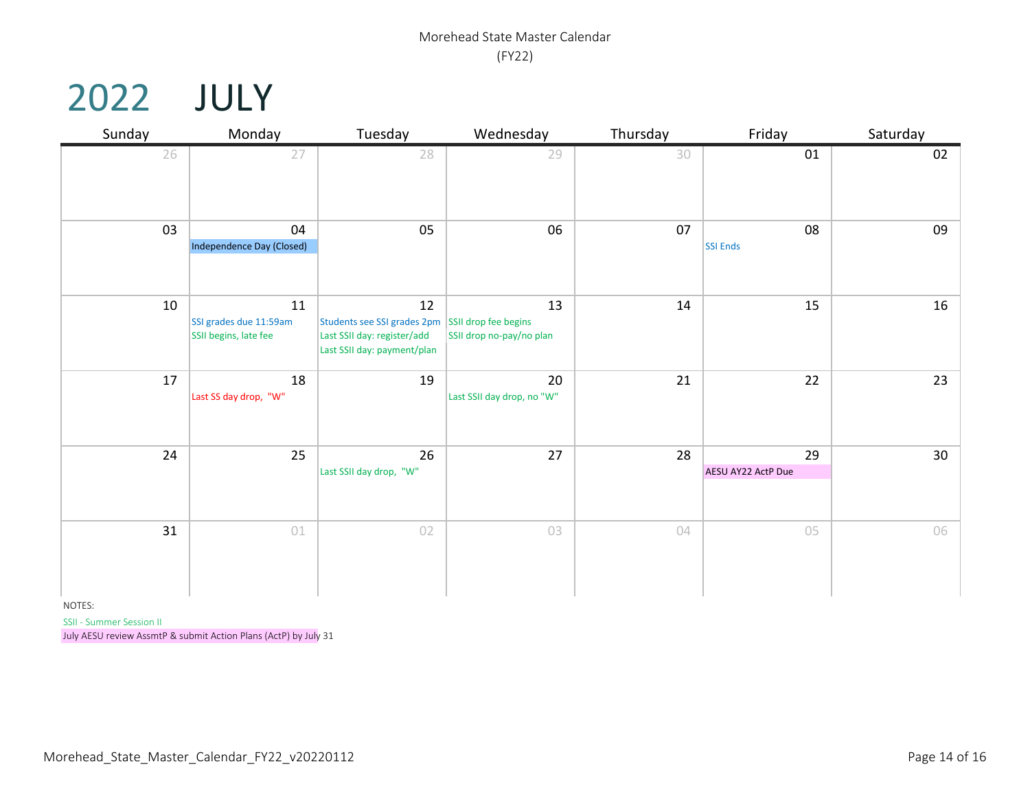### 2022 JULY

| Sunday | Monday                       | Tuesday                                                    | Wednesday                        | Thursday | Friday             | Saturday |  |
|--------|------------------------------|------------------------------------------------------------|----------------------------------|----------|--------------------|----------|--|
| 26     | 27                           | 28                                                         | 29                               | 30       | 01                 | 02       |  |
| 03     | 04                           | 05                                                         | 06                               | 07       | 08                 | 09       |  |
|        | Independence Day (Closed)    |                                                            |                                  |          | <b>SSI Ends</b>    |          |  |
| 10     | 11<br>SSI grades due 11:59am | 12<br>Students see SSI grades 2pm SSII drop fee begins     | 13                               | 14       | 15                 | 16       |  |
|        | SSII begins, late fee        | Last SSII day: register/add<br>Last SSII day: payment/plan | SSII drop no-pay/no plan         |          |                    |          |  |
| 17     | 18<br>Last SS day drop, "W"  | 19                                                         | 20<br>Last SSII day drop, no "W" | 21       | 22                 | 23       |  |
| 24     | 25                           | 26                                                         | 27                               | 28       | 29                 | 30       |  |
|        |                              | Last SSII day drop, "W"                                    |                                  |          | AESU AY22 ActP Due |          |  |
| 31     | 01                           | 02                                                         | 03                               | 04       | 05                 | 06       |  |

NOTES:

SSII - Summer Session II

July AESU review AssmtP & submit Action Plans (ActP) by July 31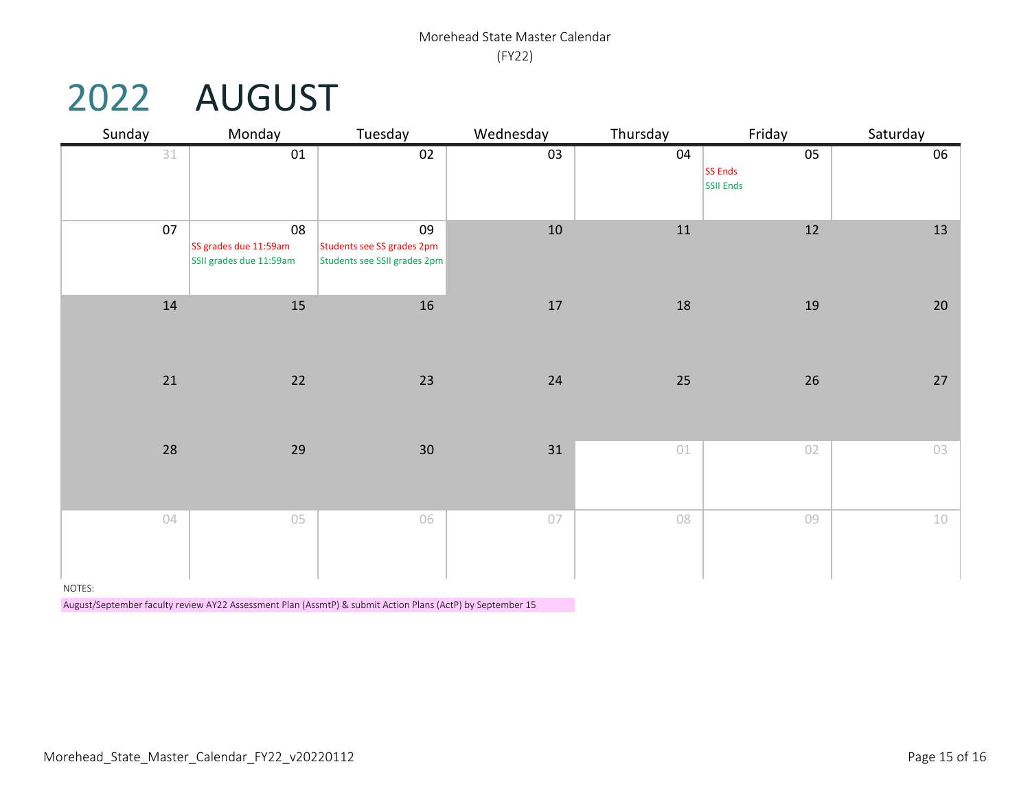## 2022 AUGUST

| Sunday | Monday                                                 | Tuesday                                                          | Wednesday | Thursday | Friday                     | Saturday |  |
|--------|--------------------------------------------------------|------------------------------------------------------------------|-----------|----------|----------------------------|----------|--|
| 31     | 01                                                     | 02                                                               | 03        | 04       | 05<br>SS Ends<br>SSII Ends | 06       |  |
| 07     | 08<br>SS grades due 11:59am<br>SSII grades due 11:59am | 09<br>Students see SS grades 2pm<br>Students see SSII grades 2pm | 10        | $11\,$   | $12\,$                     | 13       |  |
| 14     | $15\,$                                                 | 16                                                               | 17        | $18\,$   | 19                         | 20       |  |
| 21     | 22                                                     | $23\,$                                                           | 24        | 25       | $26\,$                     | 27       |  |
| 28     | 29                                                     | 30                                                               | 31        | $01\,$   | 02                         | 03       |  |
| 04     | 05                                                     | 06                                                               | 07        | 08       | 09                         | 10       |  |

NOTES:

August/September faculty review AY22 Assessment Plan (AssmtP) & submit Action Plans (ActP) by September 15